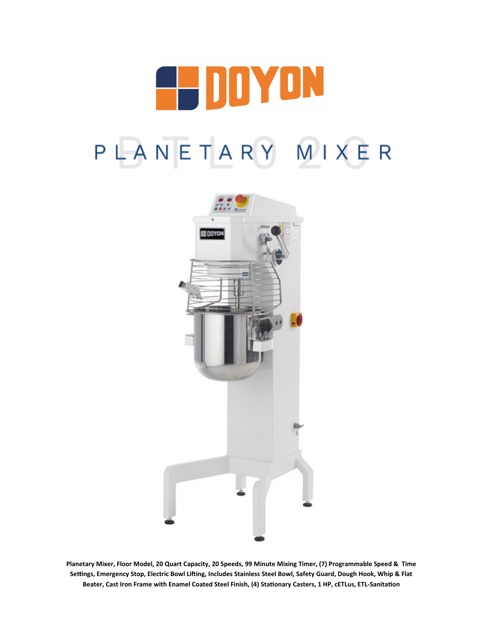



**Planetary Mixer, Floor Model, 20 Quart Capacity, 20 Speeds, 99 Minute Mixing Timer, (7) Programmable Speed & Time Settings, Emergency Stop, Electric Bowl Lifting, Includes Stainless Steel Bowl, Safety Guard, Dough Hook, Whip & Flat Beater, Cast Iron Frame with Enamel Coated Steel Finish, (4) Stationary Casters, 1 HP, cETLus, ETL-Sanitation**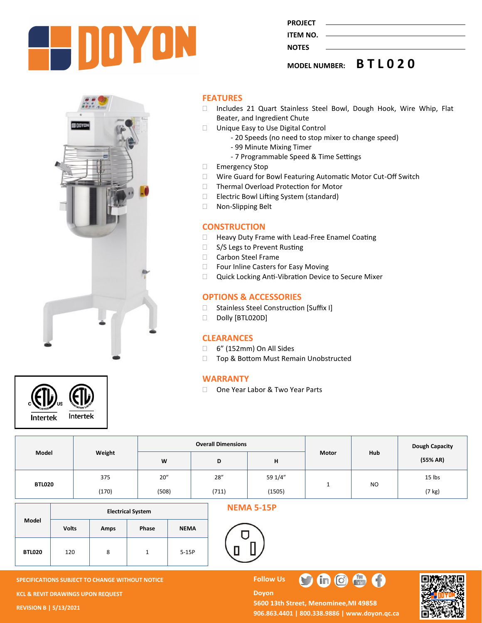

**PROJECT ITEM NO.** 

**NOTES** 

**MODEL NUMBER: B T L 0 2 0**



#### **FEATURES**

- □ Includes 21 Quart Stainless Steel Bowl, Dough Hook, Wire Whip, Flat Beater, and Ingredient Chute
- □ Unique Easy to Use Digital Control
	- 20 Speeds (no need to stop mixer to change speed)
	- 99 Minute Mixing Timer
	- 7 Programmable Speed & Time Settings
- Emergency Stop
- Wire Guard for Bowl Featuring Automatic Motor Cut-Off Switch
- □ Thermal Overload Protection for Motor
- □ Electric Bowl Lifting System (standard)
- □ Non-Slipping Belt

## **CONSTRUCTION**

- □ Heavy Duty Frame with Lead-Free Enamel Coating
- □ S/S Legs to Prevent Rusting
- □ Carbon Steel Frame
- □ Four Inline Casters for Easy Moving
- □ Quick Locking Anti-Vibration Device to Secure Mixer

## **OPTIONS & ACCESSORIES**

- □ Stainless Steel Construction [Suffix I]
- Dolly [BTL020D]

#### **CLEARANCES**

- 6" (152mm) On All Sides
- □ Top & Bottom Must Remain Unobstructed

### **WARRANTY**

□ One Year Labor & Two Year Parts

| Model  | Weight | <b>Overall Dimensions</b> |       |         |              |                | <b>Dough Capacity</b> |
|--------|--------|---------------------------|-------|---------|--------------|----------------|-----------------------|
|        |        | W                         | D     | н       | <b>Motor</b> | Hub            | (55% AR)              |
| BTL020 | 375    | 20''                      | 28''  | 59 1/4" |              | N <sub>O</sub> | 15 lbs                |
|        | (170)  | (508)                     | (711) | (1505)  |              |                | (7 kg)                |

|               | <b>Electrical System</b> |      |       |             |  |  |  |
|---------------|--------------------------|------|-------|-------------|--|--|--|
| Model         | <b>Volts</b>             | Amps | Phase | <b>NEMA</b> |  |  |  |
| <b>BTL020</b> | 120                      | 8    |       | $5-15P$     |  |  |  |

#### **NEMA 5-15P**



**SPECIFICATIONS SUBJECT TO CHANGE WITHOUT NOTICE FOLLOW US KCL & REVIT DRAWINGS UPON REQUEST REVISION B | 5/13/2021**

**Intertek** 

Intertek

#### **Doyon** 5600 13th Street, Menominee, MI 49858 **906.863.4401 | 800.338.9886 | [www.doyon.qc.ca](http://www.doyon.qc.ca/)**

 $\blacksquare$ 

 $\frac{1}{\ln 4x}$